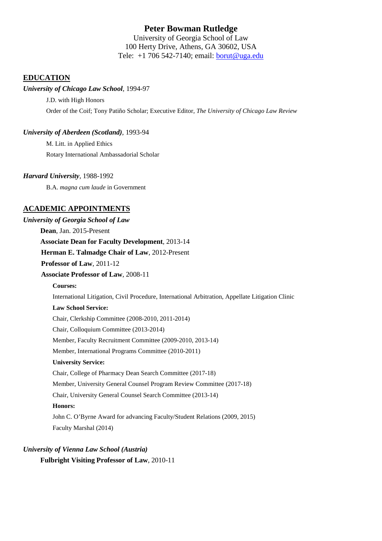# **Peter Bowman Rutledge**

University of Georgia School of Law 100 Herty Drive, Athens, GA 30602, USA Tele: +1 706 542-7140; email: [borut@uga.edu](mailto:borut@uga.edu)

# **EDUCATION**

## *University of Chicago Law School,* 1994-97

J.D. with High Honors Order of the Coif; Tony Patiño Scholar; Executive Editor, *The University of Chicago Law Review*

## *University of Aberdeen (Scotland)*, 1993-94

M. Litt. in Applied Ethics Rotary International Ambassadorial Scholar

### *Harvard University,* 1988-1992

B.A. *magna cum laude* in Government

# **ACADEMIC APPOINTMENTS**

| University of Georgia School of Law                                                               |
|---------------------------------------------------------------------------------------------------|
| Dean, Jan. 2015-Present                                                                           |
| <b>Associate Dean for Faculty Development, 2013-14</b>                                            |
| Herman E. Talmadge Chair of Law, 2012-Present                                                     |
| Professor of Law, 2011-12                                                                         |
| <b>Associate Professor of Law, 2008-11</b>                                                        |
| <b>Courses:</b>                                                                                   |
| International Litigation, Civil Procedure, International Arbitration, Appellate Litigation Clinic |
| <b>Law School Service:</b>                                                                        |
| Chair, Clerkship Committee (2008-2010, 2011-2014)                                                 |
| Chair, Colloquium Committee (2013-2014)                                                           |
| Member, Faculty Recruitment Committee (2009-2010, 2013-14)                                        |
| Member, International Programs Committee (2010-2011)                                              |
| <b>University Service:</b>                                                                        |
| Chair, College of Pharmacy Dean Search Committee (2017-18)                                        |
| Member, University General Counsel Program Review Committee (2017-18)                             |
| Chair, University General Counsel Search Committee (2013-14)                                      |
| <b>Honors:</b>                                                                                    |
| John C. O'Byrne Award for advancing Faculty/Student Relations (2009, 2015)                        |
| Faculty Marshal (2014)                                                                            |
|                                                                                                   |

# *University of Vienna Law School (Austria)*

**Fulbright Visiting Professor of Law**, 2010-11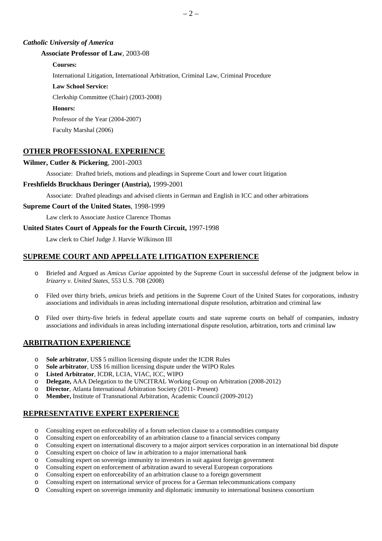#### *Catholic University of America*

#### **Associate Professor of Law**, 2003-08

#### **Courses:**

International Litigation, International Arbitration, Criminal Law, Criminal Procedure

#### **Law School Service:**

Clerkship Committee (Chair) (2003-2008)

#### **Honors:**

Professor of the Year (2004-2007)

Faculty Marshal (2006)

### **OTHER PROFESSIONAL EXPERIENCE**

#### **Wilmer, Cutler & Pickering***,* 2001-2003

Associate: Drafted briefs, motions and pleadings in Supreme Court and lower court litigation

#### **Freshfields Bruckhaus Deringer (Austria),** 1999-2001

Associate: Drafted pleadings and advised clients in German and English in ICC and other arbitrations

#### **Supreme Court of the United States***,* 1998-1999

Law clerk to Associate Justice Clarence Thomas

### **United States Court of Appeals for the Fourth Circuit,** 1997-1998

Law clerk to Chief Judge J. Harvie Wilkinson III

# **SUPREME COURT AND APPELLATE LITIGATION EXPERIENCE**

- o Briefed and Argued as *Amicus Curiae* appointed by the Supreme Court in successful defense of the judgment below in *Irizarry v. United States*, 553 U.S. 708 (2008)
- o Filed over thirty briefs, *amicus* briefs and petitions in the Supreme Court of the United States for corporations, industry associations and individuals in areas including international dispute resolution, arbitration and criminal law
- o Filed over thirty-five briefs in federal appellate courts and state supreme courts on behalf of companies, industry associations and individuals in areas including international dispute resolution, arbitration, torts and criminal law

# **ARBITRATION EXPERIENCE**

- o **Sole arbitrator**, US\$ 5 million licensing dispute under the ICDR Rules
- o **Sole arbitrator**, US\$ 16 million licensing dispute under the WIPO Rules
- o **Listed Arbitrator**, ICDR, LCIA, VIAC, ICC, WIPO
- o **Delegate,** AAA Delegation to the UNCITRAL Working Group on Arbitration (2008-2012)
- o **Director**, Atlanta International Arbitration Society (2011- Present)
- Member, Institute of Transnational Arbitration, Academic Council (2009-2012)

# **REPRESENTATIVE EXPERT EXPERIENCE**

- o Consulting expert on enforceability of a forum selection clause to a commodities company
- o Consulting expert on enforceability of an arbitration clause to a financial services company
- Consulting expert on international discovery to a major airport services corporation in an international bid dispute
- o Consulting expert on choice of law in arbitration to a major international bank
- o Consulting expert on sovereign immunity to investors in suit against foreign government
- Consulting expert on enforcement of arbitration award to several European corporations
- o Consulting expert on enforceability of an arbitration clause to a foreign government
- o Consulting expert on international service of process for a German telecommunications company
- o Consulting expert on sovereign immunity and diplomatic immunity to international business consortium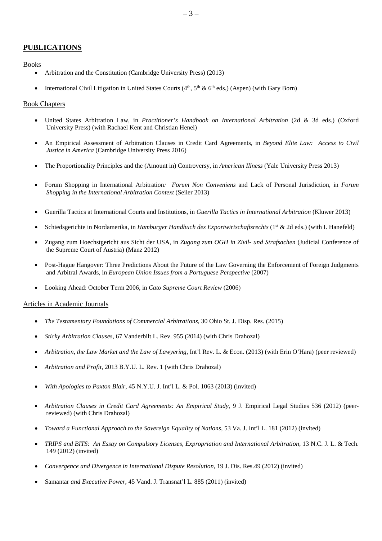# **PUBLICATIONS**

#### Books

- Arbitration and the Constitution (Cambridge University Press) (2013)
- International Civil Litigation in United States Courts  $(4<sup>th</sup>, 5<sup>th</sup> \& 6<sup>th</sup>$  eds.) (Aspen) (with Gary Born)

### Book Chapters

- United States Arbitration Law, in *Practitioner's Handbook on International Arbitration* (2d & 3d eds.) (Oxford University Press) (with Rachael Kent and Christian Henel)
- An Empirical Assessment of Arbitration Clauses in Credit Card Agreements, in *Beyond Elite Law: Access to Civil Justice in America* (Cambridge University Press 2016)
- The Proportionality Principles and the (Amount in) Controversy, in *American Illness* (Yale University Press 2013)
- Forum Shopping in International Arbitration*: Forum Non Conveniens* and Lack of Personal Jurisdiction, in *Forum Shopping in the International Arbitration Context* (Seiler 2013)
- Guerilla Tactics at International Courts and Institutions, in *Guerilla Tactics in International Arbitration* (Kluwer 2013)
- Schiedsgerichte in Nordamerika, in *Hamburger Handbuch des Exportwirtschaftsrechts* (1<sup>st</sup> & 2d eds.) (with I. Hanefeld)
- Zugang zum Hoechstgericht aus Sicht der USA, in *Zugang zum OGH in Zivil- und Strafsachen* (Judicial Conference of the Supreme Court of Austria) (Manz 2012)
- Post-Hague Hangover: Three Predictions About the Future of the Law Governing the Enforcement of Foreign Judgments and Arbitral Awards, in *European Union Issues from a Portuguese Perspective* (2007)
- Looking Ahead: October Term 2006, in *Cato Supreme Court Review* (2006)

### Articles in Academic Journals

- *The Testamentary Foundations of Commercial Arbitrations*, 30 Ohio St. J. Disp. Res. (2015)
- *Sticky Arbitration Clauses*, 67 Vanderbilt L. Rev. 955 (2014) (with Chris Drahozal)
- *Arbitration, the Law Market and the Law of Lawyering*, Int'l Rev. L. & Econ. (2013) (with Erin O'Hara) (peer reviewed)
- *Arbitration and Profit*, 2013 B.Y.U. L. Rev. 1 (with Chris Drahozal)
- *With Apologies to Paxton Blair*, 45 N.Y.U. J. Int'l L. & Pol. 1063 (2013) (invited)
- *Arbitration Clauses in Credit Card Agreements: An Empirical Study*, 9 J. Empirical Legal Studies 536 (2012) (peerreviewed) (with Chris Drahozal)
- *Toward a Functional Approach to the Sovereign Equality of Nations*, 53 Va. J. Int'l L. 181 (2012) (invited)
- *TRIPS and BITS: An Essay on Compulsory Licenses, Expropriation and International Arbitration*, 13 N.C. J. L. & Tech. 149 (2012) (invited)
- *Convergence and Divergence in International Dispute Resolution*, 19 J. Dis. Res.49 (2012) (invited)
- Samantar *and Executive Power*, 45 Vand. J. Transnat'l L. 885 (2011) (invited)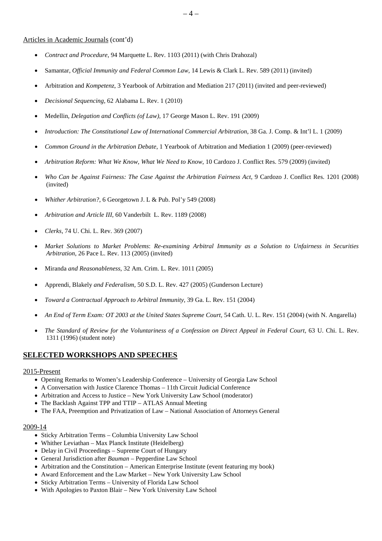#### Articles in Academic Journals (cont'd)

- *Contract and Procedure*, 94 Marquette L. Rev. 1103 (2011) (with Chris Drahozal)
- Samantar, *Official Immunity and Federal Common Law*, 14 Lewis & Clark L. Rev. 589 (2011) (invited)
- Arbitration and *Kompetenz*, 3 Yearbook of Arbitration and Mediation 217 (2011) (invited and peer-reviewed)
- *Decisional Sequencing*, 62 Alabama L. Rev. 1 (2010)
- Medellin*, Delegation and Conflicts (of Law)*, 17 George Mason L. Rev. 191 (2009)
- *Introduction: The Constitutional Law of International Commercial Arbitration*, 38 Ga. J. Comp. & Int'l L. 1 (2009)
- *Common Ground in the Arbitration Debate*, 1 Yearbook of Arbitration and Mediation 1 (2009) (peer*-*reviewed)
- *Arbitration Reform: What We Know, What We Need to Know*, 10 Cardozo J. Conflict Res. 579 (2009) (invited)
- *Who Can be Against Fairness: The Case Against the Arbitration Fairness Act*, 9 Cardozo J. Conflict Res. 1201 (2008) (invited)
- *Whither Arbitration?*, 6 Georgetown J. L & Pub. Pol'y 549 (2008)
- *Arbitration and Article III*, 60 Vanderbilt L. Rev. 1189 (2008)
- *Clerks*, 74 U. Chi. L. Rev. 369 (2007)
- *Market Solutions to Market Problems*: *Re-examining Arbitral Immunity as a Solution to Unfairness in Securities Arbitration*, 26 Pace L. Rev. 113 (2005) (invited)
- Miranda *and Reasonableness*, 32 Am. Crim. L. Rev. 1011 (2005)
- Apprendi*,* Blakely *and Federalism*, 50 S.D. L. Rev. 427 (2005) (Gunderson Lecture)
- *Toward a Contractual Approach to Arbitral Immunity*, 39 Ga. L. Rev. 151 (2004)
- *An End of Term Exam: OT 2003 at the United States Supreme Court*, 54 Cath. U. L. Rev. 151 (2004) (with N. Angarella)
- *The Standard of Review for the Voluntariness of a Confession on Direct Appeal in Federal Court*, 63 U. Chi. L. Rev. 1311 (1996) (student note)

#### **SELECTED WORKSHOPS AND SPEECHES**

#### 2015-Present

- Opening Remarks to Women's Leadership Conference University of Georgia Law School
- A Conversation with Justice Clarence Thomas 11th Circuit Judicial Conference
- Arbitration and Access to Justice New York University Law School (moderator)
- The Backlash Against TPP and TTIP ATLAS Annual Meeting
- The FAA, Preemption and Privatization of Law National Association of Attorneys General

#### 2009-14

- Sticky Arbitration Terms Columbia University Law School
- Whither Leviathan Max Planck Institute (Heidelberg)
- Delay in Civil Proceedings Supreme Court of Hungary
- General Jurisdiction after *Bauman* Pepperdine Law School
- Arbitration and the Constitution American Enterprise Institute (event featuring my book)
- Award Enforcement and the Law Market New York University Law School
- Sticky Arbitration Terms University of Florida Law School
- With Apologies to Paxton Blair New York University Law School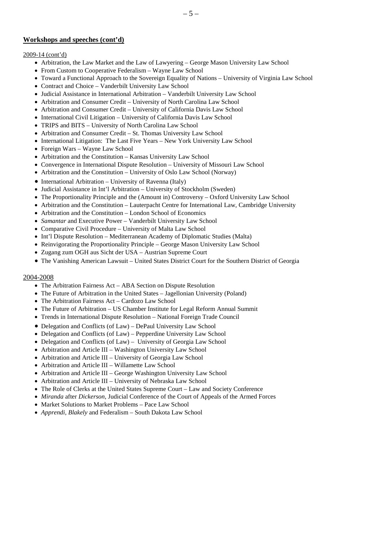# **Workshops and speeches (cont'd)**

# 2009-14 (cont'd)

- Arbitration, the Law Market and the Law of Lawyering George Mason University Law School
- From Custom to Cooperative Federalism Wayne Law School
- Toward a Functional Approach to the Sovereign Equality of Nations University of Virginia Law School
- Contract and Choice Vanderbilt University Law School
- Judicial Assistance in International Arbitration Vanderbilt University Law School
- Arbitration and Consumer Credit University of North Carolina Law School
- Arbitration and Consumer Credit University of California Davis Law School
- International Civil Litigation University of California Davis Law School
- TRIPS and BITS University of North Carolina Law School
- Arbitration and Consumer Credit St. Thomas University Law School
- International Litigation: The Last Five Years New York University Law School
- Foreign Wars Wayne Law School
- Arbitration and the Constitution Kansas University Law School
- Convergence in International Dispute Resolution University of Missouri Law School
- Arbitration and the Constitution University of Oslo Law School (Norway)
- International Arbitration University of Ravenna (Italy)
- Judicial Assistance in Int'l Arbitration University of Stockholm (Sweden)
- The Proportionality Principle and the (Amount in) Controversy Oxford University Law School
- Arbitration and the Constitution Lauterpacht Centre for International Law, Cambridge University
- Arbitration and the Constitution London School of Economics
- *Samantar* and Executive Power Vanderbilt University Law School
- Comparative Civil Procedure University of Malta Law School
- Int'l Dispute Resolution Mediterranean Academy of Diplomatic Studies (Malta)
- Reinvigorating the Proportionality Principle George Mason University Law School
- Zugang zum OGH aus Sicht der USA Austrian Supreme Court
- The Vanishing American Lawsuit United States District Court for the Southern District of Georgia

### 2004-2008

- The Arbitration Fairness Act ABA Section on Dispute Resolution
- The Future of Arbitration in the United States Jagellonian University (Poland)
- The Arbitration Fairness Act Cardozo Law School
- The Future of Arbitration US Chamber Institute for Legal Reform Annual Summit
- Trends in International Dispute Resolution National Foreign Trade Council
- Delegation and Conflicts (of Law) DePaul University Law School
- Delegation and Conflicts (of Law) Pepperdine University Law School
- Delegation and Conflicts (of Law) University of Georgia Law School
- Arbitration and Article III Washington University Law School
- Arbitration and Article III University of Georgia Law School
- Arbitration and Article III Willamette Law School
- Arbitration and Article III George Washington University Law School
- Arbitration and Article III University of Nebraska Law School
- The Role of Clerks at the United States Supreme Court Law and Society Conference
- *Miranda* after *Dickerson*, Judicial Conference of the Court of Appeals of the Armed Forces
- Market Solutions to Market Problems Pace Law School
- *Apprendi*, *Blakely* and Federalism South Dakota Law School